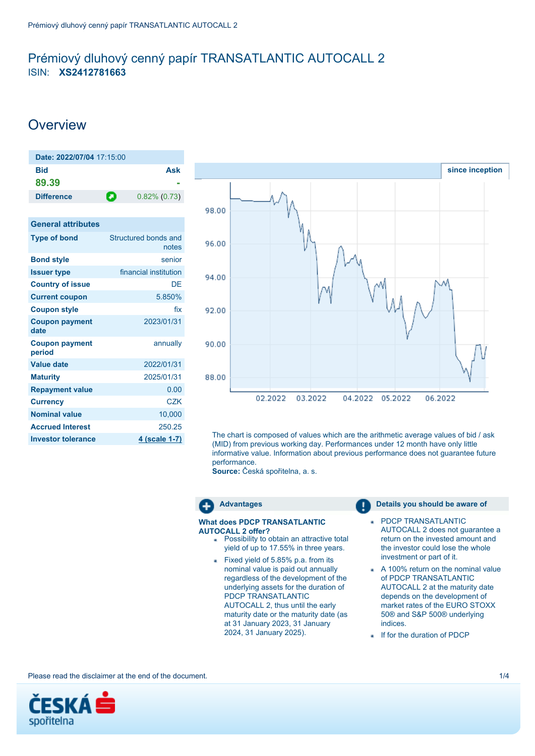## <span id="page-0-0"></span>Prémiový dluhový cenný papír TRANSATLANTIC AUTOCALL 2 ISIN: **XS2412781663**

# **Overview**

| Date: 2022/07/04 17:15:00       |                               |
|---------------------------------|-------------------------------|
| <b>Bid</b><br>89.39             | <b>Ask</b>                    |
| <b>Difference</b>               | O<br>$0.82\%$ (0.73)          |
| <b>General attributes</b>       |                               |
| <b>Type of bond</b>             | Structured bonds and<br>notes |
| <b>Bond style</b>               | senior                        |
| <b>Issuer type</b>              | financial institution         |
| <b>Country of issue</b>         | DF                            |
| <b>Current coupon</b>           | 5.850%                        |
| <b>Coupon style</b>             | fix                           |
| <b>Coupon payment</b><br>date   | 2023/01/31                    |
| <b>Coupon payment</b><br>period | annually                      |
| <b>Value date</b>               | 2022/01/31                    |
| <b>Maturity</b>                 | 2025/01/31                    |
| <b>Repayment value</b>          | 0.00                          |
| <b>Currency</b>                 | CZK                           |
| <b>Nominal value</b>            | 10,000                        |
| <b>Accrued Interest</b>         | 250.25                        |
| <b>Investor tolerance</b>       | 4 (scale 1-7)                 |
|                                 |                               |



The chart is composed of values which are the arithmetic average values of bid / ask (MID) from previous working day. Performances under 12 month have only little informative value. Information about previous performance does not guarantee future performance.

**Source:** Česká spořitelna, a. s.



### **What does PDCP TRANSATLANTIC AUTOCALL 2 offer?**

- **Possibility to obtain an attractive total** yield of up to 17.55% in three years.
- Fixed yield of 5.85% p.a. from its nominal value is paid out annually regardless of the development of the underlying assets for the duration of PDCP TRANSATLANTIC AUTOCALL 2, thus until the early maturity date or the maturity date (as at 31 January 2023, 31 January 2024, 31 January 2025).

### **Advantages Details you should be aware of**

- PDCP TRANSATLANTIC ä, AUTOCALL 2 does not guarantee a return on the invested amount and the investor could lose the whole investment or part of it.
- A 100% return on the nominal value of PDCP TRANSATLANTIC AUTOCALL 2 at the maturity date depends on the development of market rates of the EURO STOXX 50® and S&P 500® underlying indices.
- If for the duration of PDCP

Please read the disclaimer at the end of the document. 1/4

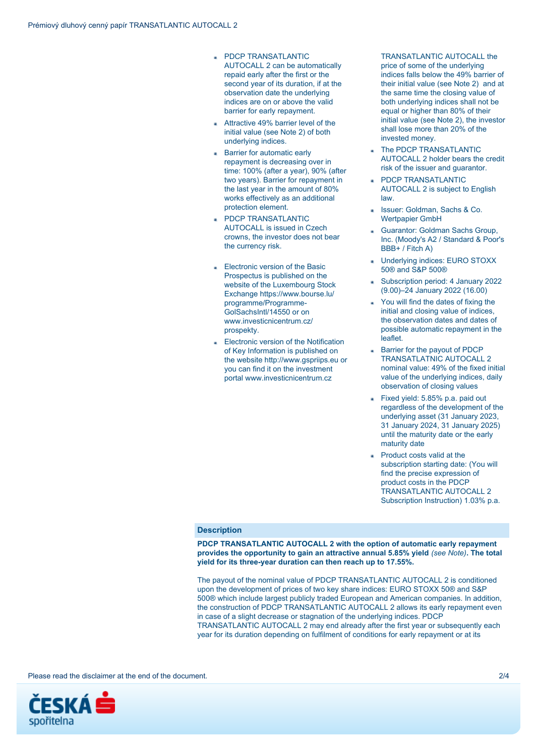- **PDCP TRANSATLANTIC** AUTOCALL 2 can be automatically repaid early after the first or the second year of its duration, if at the observation date the underlying indices are on or above the valid barrier for early repayment.
- Attractive 49% barrier level of the initial value (see Note 2) of both underlying indices.
- **Barrier for automatic early** repayment is decreasing over in time: 100% (after a year), 90% (after two years). Barrier for repayment in the last year in the amount of 80% works effectively as an additional protection element.
- PDCP TRANSATLANTIC AUTOCALL is issued in Czech crowns, the investor does not bear the currency risk.
- **Electronic version of the Basic** Prospectus is published on the website of the Luxembourg Stock Exchange https://www.bourse.lu/ programme/Programme-GolSachsIntl/14550 or on www.investicnicentrum.cz/ prospekty.
- Electronic version of the Notification of Key Information is published on the website http://www.gspriips.eu or you can find it on the investment portal www.investicnicentrum.cz

## TRANSATI ANTIC AUTOCALL the price of some of the underlying indices falls below the 49% barrier of their initial value (see Note 2) and at the same time the closing value of both underlying indices shall not be equal or higher than 80% of their initial value (see Note 2), the investor shall lose more than 20% of the invested money.

- The PDCP TRANSATLANTIC AUTOCALL 2 holder bears the credit risk of the issuer and guarantor.
- PDCP TRANSATLANTIC AUTOCALL 2 is subject to English law.
- Issuer: Goldman, Sachs & Co. Wertpapier GmbH
- Guarantor: Goldman Sachs Group, Inc. (Moody's A2 / Standard & Poor's BBB+ / Fitch A)
- Underlying indices: EURO STOXX 50® and S&P 500®
- Subscription period: 4 January 2022 (9.00)–24 January 2022 (16.00)
- You will find the dates of fixing the initial and closing value of indices, the observation dates and dates of possible automatic repayment in the leaflet.
- Barrier for the payout of PDCP TRANSATLATNIC AUTOCALL 2 nominal value: 49% of the fixed initial value of the underlying indices, daily observation of closing values
- Fixed yield: 5.85% p.a. paid out regardless of the development of the underlying asset (31 January 2023, 31 January 2024, 31 January 2025) until the maturity date or the early maturity date
- Product costs valid at the subscription starting date: (You will find the precise expression of product costs in the PDCP TRANSATLANTIC AUTOCALL 2 Subscription Instruction) 1.03% p.a.

## **Description**

**PDCP TRANSATLANTIC AUTOCALL 2 with the option of automatic early repayment provides the opportunity to gain an attractive annual 5.85% yield** *(see Note)***. The total yield for its three-year duration can then reach up to 17.55%.**

The payout of the nominal value of PDCP TRANSATLANTIC AUTOCALL 2 is conditioned upon the development of prices of two key share indices: EURO STOXX 50® and S&P 500® which include largest publicly traded European and American companies. In addition, the construction of PDCP TRANSATLANTIC AUTOCALL 2 allows its early repayment even in case of a slight decrease or stagnation of the underlying indices. PDCP TRANSATLANTIC AUTOCALL 2 may end already after the first year or subsequently each year for its duration depending on fulfilment of conditions for early repayment or at its

Please read the disclaimer at the end of the document. 2/4

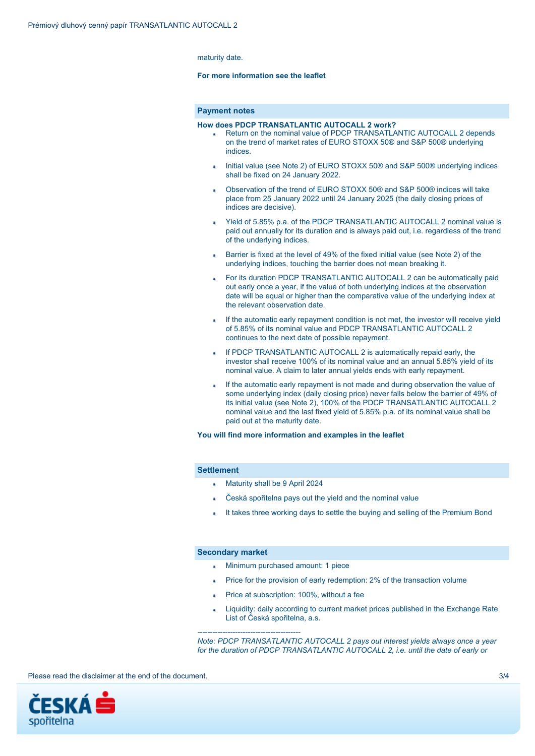maturity date.

## **For more information see the leaflet**

## **Payment notes**

#### **How does PDCP TRANSATLANTIC AUTOCALL 2 work?**

- Return on the nominal value of PDCP TRANSATLANTIC AUTOCALL 2 depends on the trend of market rates of EURO STOXX 50® and S&P 500® underlying indices.
- Initial value (see Note 2) of EURO STOXX 50® and S&P 500® underlying indices shall be fixed on 24 January 2022.
- Observation of the trend of EURO STOXX 50® and S&P 500® indices will take place from 25 January 2022 until 24 January 2025 (the daily closing prices of indices are decisive).
- Yield of 5.85% p.a. of the PDCP TRANSATLANTIC AUTOCALL 2 nominal value is paid out annually for its duration and is always paid out, i.e. regardless of the trend of the underlying indices.
- Barrier is fixed at the level of 49% of the fixed initial value (see Note 2) of the underlying indices, touching the barrier does not mean breaking it.
- For its duration PDCP TRANSATLANTIC AUTOCALL 2 can be automatically paid out early once a year, if the value of both underlying indices at the observation date will be equal or higher than the comparative value of the underlying index at the relevant observation date.
- If the automatic early repayment condition is not met, the investor will receive yield of 5.85% of its nominal value and PDCP TRANSATLANTIC AUTOCALL 2 continues to the next date of possible repayment.
- If PDCP TRANSATLANTIC AUTOCALL 2 is automatically repaid early, the investor shall receive 100% of its nominal value and an annual 5.85% yield of its nominal value. A claim to later annual yields ends with early repayment.
- If the automatic early repayment is not made and during observation the value of some underlying index (daily closing price) never falls below the barrier of 49% of its initial value (see Note 2), 100% of the PDCP TRANSATLANTIC AUTOCALL 2 nominal value and the last fixed yield of 5.85% p.a. of its nominal value shall be paid out at the maturity date.

**You will find more information and examples in the leaflet**

### **Settlement**

- Maturity shall be 9 April 2024
- Česká spořitelna pays out the yield and the nominal value
- It takes three working days to settle the buying and selling of the Premium Bond

## **Secondary market**

*-----------------------------------------*

- Minimum purchased amount: 1 piece
- Price for the provision of early redemption: 2% of the transaction volume
- Price at subscription: 100%, without a fee
- Liquidity: daily according to current market prices published in the Exchange Rate List of Česká spořitelna, a.s.

*Note: PDCP TRANSATLANTIC AUTOCALL 2 pays out interest yields always once a year for the duration of PDCP TRANSATLANTIC AUTOCALL 2, i.e. until the date of early or*

Please read the disclaimer at the end of the document. **3/4** and  $\frac{3}{4}$